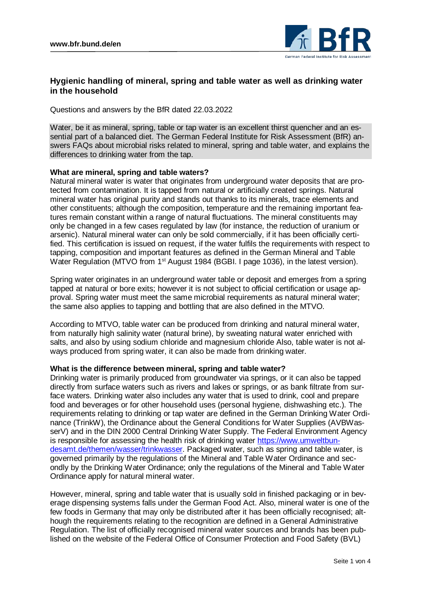

# **Hygienic handling of mineral, spring and table water as well as drinking water in the household**

Questions and answers by the BfR dated 22.03.2022

Water, be it as mineral, spring, table or tap water is an excellent thirst quencher and an essential part of a balanced diet. The German Federal Institute for Risk Assessment (BfR) answers FAQs about microbial risks related to mineral, spring and table water, and explains the differences to drinking water from the tap.

### **What are mineral, spring and table waters?**

Natural mineral water is water that originates from underground water deposits that are protected from contamination. It is tapped from natural or artificially created springs. Natural mineral water has original purity and stands out thanks to its minerals, trace elements and other constituents; although the composition, temperature and the remaining important features remain constant within a range of natural fluctuations. The mineral constituents may only be changed in a few cases regulated by law (for instance, the reduction of uranium or arsenic). Natural mineral water can only be sold commercially, if it has been officially certified. This certification is issued on request, if the water fulfils the requirements with respect to tapping, composition and important features as defined in the German Mineral and Table Water Regulation (MTVO from 1<sup>st</sup> August 1984 (BGBI. I page 1036), in the latest version).

Spring water originates in an underground water table or deposit and emerges from a spring tapped at natural or bore exits; however it is not subject to official certification or usage approval. Spring water must meet the same microbial requirements as natural mineral water; the same also applies to tapping and bottling that are also defined in the MTVO.

According to MTVO, table water can be produced from drinking and natural mineral water, from naturally high salinity water (natural brine), by sweating natural water enriched with salts, and also by using sodium chloride and magnesium chloride Also, table water is not always produced from spring water, it can also be made from drinking water.

### **What is the difference between mineral, spring and table water?**

Drinking water is primarily produced from groundwater via springs, or it can also be tapped directly from surface waters such as rivers and lakes or springs, or as bank filtrate from surface waters. Drinking water also includes any water that is used to drink, cool and prepare food and beverages or for other household uses (personal hygiene, dishwashing etc.). The requirements relating to drinking or tap water are defined in the German Drinking Water Ordinance (TrinkW), the Ordinance about the General Conditions for Water Supplies (AVBWasserV) and in the DIN 2000 Central Drinking Water Supply. The Federal Environment Agency is responsible for assessing the health risk of drinking water [https://www.umweltbun](https://www.umweltbundesamt.de/themen/wasser/trinkwasser)[desamt.de/themen/wasser/trinkwasser.](https://www.umweltbundesamt.de/themen/wasser/trinkwasser) Packaged water, such as spring and table water, is governed primarily by the regulations of the Mineral and Table Water Ordinance and secondly by the Drinking Water Ordinance; only the regulations of the Mineral and Table Water Ordinance apply for natural mineral water.

However, mineral, spring and table water that is usually sold in finished packaging or in beverage dispensing systems falls under the German Food Act. Also, mineral water is one of the few foods in Germany that may only be distributed after it has been officially recognised; although the requirements relating to the recognition are defined in a General Administrative Regulation. The list of officially recognised mineral water sources and brands has been published on the website of the Federal Office of Consumer Protection and Food Safety (BVL)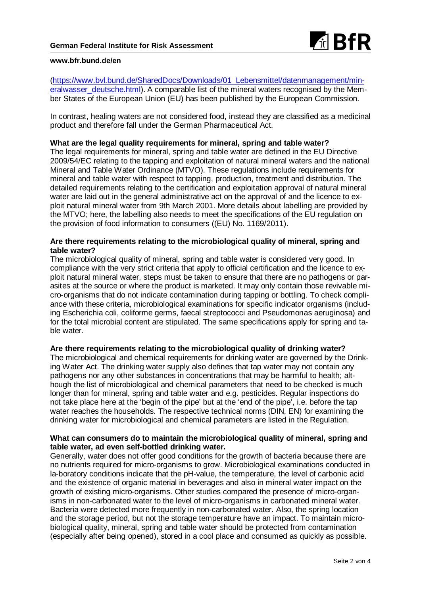

#### **www.bfr.bund.de/en**

[\(https://www.bvl.bund.de/SharedDocs/Downloads/01\\_Lebensmittel/datenmanagement/min](https://www.bvl.bund.de/SharedDocs/Downloads/01_Lebensmittel/datenmanagement/mineralwasser_deutsche.html)[eralwasser\\_deutsche.html\)](https://www.bvl.bund.de/SharedDocs/Downloads/01_Lebensmittel/datenmanagement/mineralwasser_deutsche.html). A comparable list of the mineral waters recognised by the Member States of the European Union (EU) has been published by the European Commission.

In contrast, healing waters are not considered food, instead they are classified as a medicinal product and therefore fall under the German Pharmaceutical Act.

#### **What are the legal quality requirements for mineral, spring and table water?**

The legal requirements for mineral, spring and table water are defined in the EU Directive 2009/54/EC relating to the tapping and exploitation of natural mineral waters and the national Mineral and Table Water Ordinance (MTVO). These regulations include requirements for mineral and table water with respect to tapping, production, treatment and distribution. The detailed requirements relating to the certification and exploitation approval of natural mineral water are laid out in the general administrative act on the approval of and the licence to exploit natural mineral water from 9th March 2001. More details about labelling are provided by the MTVO; here, the labelling also needs to meet the specifications of the EU regulation on the provision of food information to consumers ((EU) No. 1169/2011).

### **Are there requirements relating to the microbiological quality of mineral, spring and table water?**

The microbiological quality of mineral, spring and table water is considered very good. In compliance with the very strict criteria that apply to official certification and the licence to exploit natural mineral water, steps must be taken to ensure that there are no pathogens or parasites at the source or where the product is marketed. It may only contain those revivable micro-organisms that do not indicate contamination during tapping or bottling. To check compliance with these criteria, microbiological examinations for specific indicator organisms (including Escherichia coli, coliforme germs, faecal streptococci and Pseudomonas aeruginosa) and for the total microbial content are stipulated. The same specifications apply for spring and table water.

#### **Are there requirements relating to the microbiological quality of drinking water?**

The microbiological and chemical requirements for drinking water are governed by the Drinking Water Act. The drinking water supply also defines that tap water may not contain any pathogens nor any other substances in concentrations that may be harmful to health; although the list of microbiological and chemical parameters that need to be checked is much longer than for mineral, spring and table water and e.g. pesticides. Regular inspections do not take place here at the 'begin of the pipe' but at the 'end of the pipe', i.e. before the tap water reaches the households. The respective technical norms (DIN, EN) for examining the drinking water for microbiological and chemical parameters are listed in the Regulation.

### **What can consumers do to maintain the microbiological quality of mineral, spring and table water, ad even self-bottled drinking water.**

Generally, water does not offer good conditions for the growth of bacteria because there are no nutrients required for micro-organisms to grow. Microbiological examinations conducted in la-boratory conditions indicate that the pH-value, the temperature, the level of carbonic acid and the existence of organic material in beverages and also in mineral water impact on the growth of existing micro-organisms. Other studies compared the presence of micro-organisms in non-carbonated water to the level of micro-organisms in carbonated mineral water. Bacteria were detected more frequently in non-carbonated water. Also, the spring location and the storage period, but not the storage temperature have an impact. To maintain microbiological quality, mineral, spring and table water should be protected from contamination (especially after being opened), stored in a cool place and consumed as quickly as possible.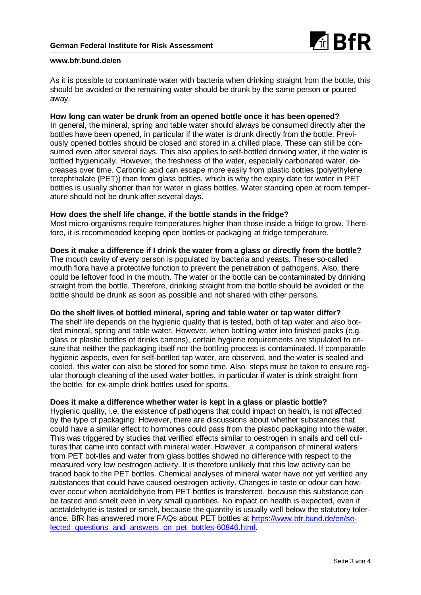

#### **www.bfr.bund.de/en**

As it is possible to contaminate water with bacteria when drinking straight from the bottle, this should be avoided or the remaining water should be drunk by the same person or poured away.

### **How long can water be drunk from an opened bottle once it has been opened?**

In general, the mineral, spring and table water should always be consumed directly after the bottles have been opened, in particular if the water is drunk directly from the bottle. Previously opened bottles should be closed and stored in a chilled place. These can still be consumed even after several days. This also applies to self-bottled drinking water, if the water is bottled hygienically. However, the freshness of the water, especially carbonated water, decreases over time. Carbonic acid can escape more easily from plastic bottles (polyethylene terephthalate (PET)) than from glass bottles, which is why the expiry date for water in PET bottles is usually shorter than for water in glass bottles. Water standing open at room temperature should not be drunk after several days.

#### **How does the shelf life change, if the bottle stands in the fridge?**

Most micro-organisms require temperatures higher than those inside a fridge to grow. Therefore, it is recommended keeping open bottles or packaging at fridge temperature.

### **Does it make a difference if I drink the water from a glass or directly from the bottle?**

The mouth cavity of every person is populated by bacteria and yeasts. These so-called mouth flora have a protective function to prevent the penetration of pathogens. Also, there could be leftover food in the mouth. The water or the bottle can be contaminated by drinking straight from the bottle. Therefore, drinking straight from the bottle should be avoided or the bottle should be drunk as soon as possible and not shared with other persons.

## **Do the shelf lives of bottled mineral, spring and table water or tap water differ?**

The shelf life depends on the hygienic quality that is tested, both of tap water and also bottled mineral, spring and table water. However, when bottling water into finished packs (e.g. glass or plastic bottles of drinks cartons), certain hygiene requirements are stipulated to ensure that neither the packaging itself nor the bottling process is contaminated. If comparable hygienic aspects, even for self-bottled tap water, are observed, and the water is sealed and cooled, this water can also be stored for some time. Also, steps must be taken to ensure regular thorough cleaning of the used water bottles, in particular if water is drink straight from the bottle, for ex-ample drink bottles used for sports.

### **Does it make a difference whether water is kept in a glass or plastic bottle?**

Hygienic quality, i.e. the existence of pathogens that could impact on health, is not affected by the type of packaging. However, there are discussions about whether substances that could have a similar effect to hormones could pass from the plastic packaging into the water. This was triggered by studies that verified effects similar to oestrogen in snails and cell cultures that came into contact with mineral water. However, a comparison of mineral waters from PET bot-tles and water from glass bottles showed no difference with respect to the measured very low oestrogen activity. It is therefore unlikely that this low activity can be traced back to the PET bottles. Chemical analyses of mineral water have not yet verified any substances that could have caused oestrogen activity. Changes in taste or odour can however occur when acetaldehyde from PET bottles is transferred, because this substance can be tasted and smelt even in very small quantities. No impact on health is expected, even if acetaldehyde is tasted or smelt, because the quantity is usually well below the statutory tolerance. BfR has answered more FAQs about PET bottles at [https://www.bfr.bund.de/en/se](https://www.bfr.bund.de/en/selected_questions_and_answers_on_pet_bottles-60846.html)[lected\\_questions\\_and\\_answers\\_on\\_pet\\_bottles-60846.html.](https://www.bfr.bund.de/en/selected_questions_and_answers_on_pet_bottles-60846.html)